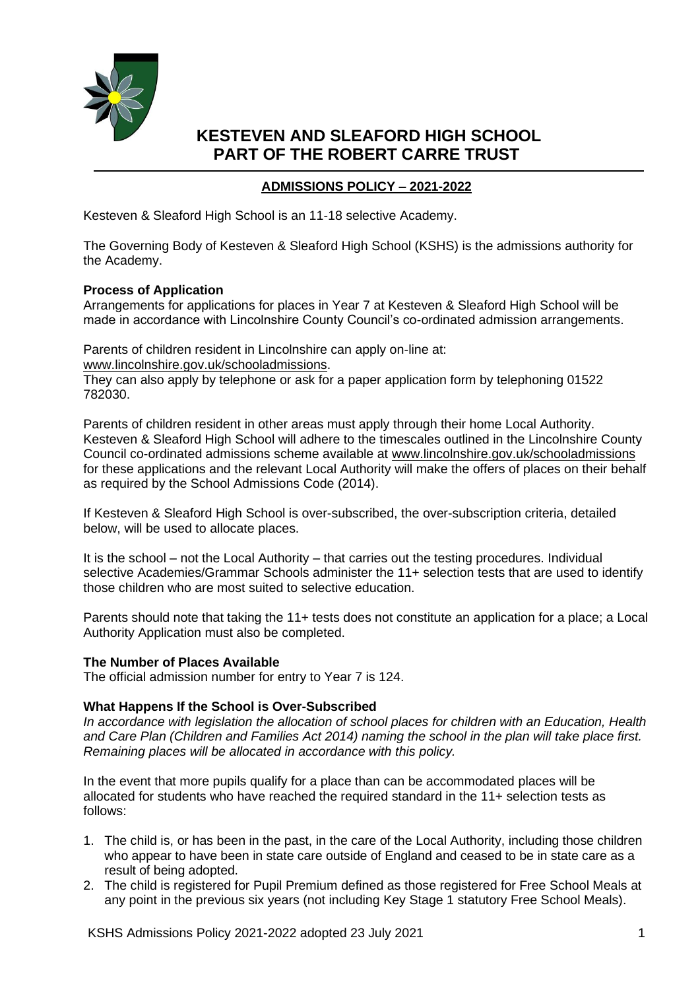

# **ADMISSIONS POLICY – 2021-2022**

Kesteven & Sleaford High School is an 11-18 selective Academy.

The Governing Body of Kesteven & Sleaford High School (KSHS) is the admissions authority for the Academy.

## **Process of Application**

Arrangements for applications for places in Year 7 at Kesteven & Sleaford High School will be made in accordance with Lincolnshire County Council's co-ordinated admission arrangements.

Parents of children resident in Lincolnshire can apply on-line at: [www.lincolnshire.gov.uk/schooladmissions.](http://www.lincolnshire.gov.uk/schooladmissions)

They can also apply by telephone or ask for a paper application form by telephoning 01522 782030.

Parents of children resident in other areas must apply through their home Local Authority. Kesteven & Sleaford High School will adhere to the timescales outlined in the Lincolnshire County Council co-ordinated admissions scheme available at [www.lincolnshire.gov.uk/schooladmissions](http://www.lincolnshire.gov.uk/schooladmissions) for these applications and the relevant Local Authority will make the offers of places on their behalf as required by the School Admissions Code (2014).

If Kesteven & Sleaford High School is over-subscribed, the over-subscription criteria, detailed below, will be used to allocate places.

It is the school – not the Local Authority – that carries out the testing procedures. Individual selective Academies/Grammar Schools administer the 11+ selection tests that are used to identify those children who are most suited to selective education.

Parents should note that taking the 11+ tests does not constitute an application for a place; a Local Authority Application must also be completed.

## **The Number of Places Available**

The official admission number for entry to Year 7 is 124.

## **What Happens If the School is Over-Subscribed**

*In accordance with legislation the allocation of school places for children with an Education, Health and Care Plan (Children and Families Act 2014) naming the school in the plan will take place first. Remaining places will be allocated in accordance with this policy.*

In the event that more pupils qualify for a place than can be accommodated places will be allocated for students who have reached the required standard in the 11+ selection tests as follows:

- 1. The child is, or has been in the past, in the care of the Local Authority, including those children who appear to have been in state care outside of England and ceased to be in state care as a result of being adopted.
- 2. The child is registered for Pupil Premium defined as those registered for Free School Meals at any point in the previous six years (not including Key Stage 1 statutory Free School Meals).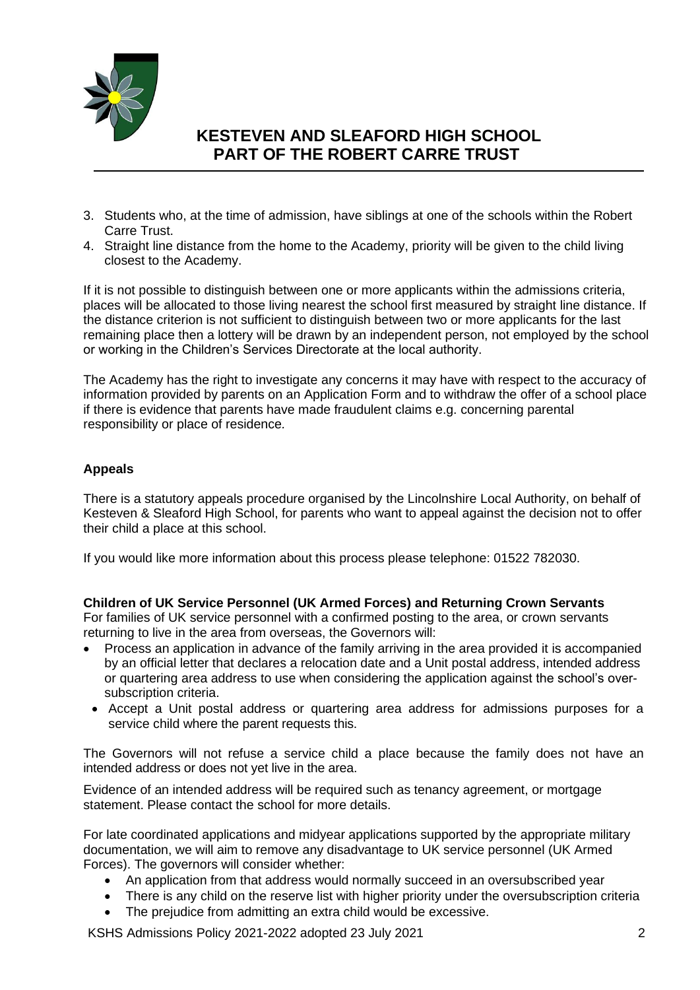

- 3. Students who, at the time of admission, have siblings at one of the schools within the Robert Carre Trust.
- 4. Straight line distance from the home to the Academy, priority will be given to the child living closest to the Academy.

If it is not possible to distinguish between one or more applicants within the admissions criteria, places will be allocated to those living nearest the school first measured by straight line distance. If the distance criterion is not sufficient to distinguish between two or more applicants for the last remaining place then a lottery will be drawn by an independent person, not employed by the school or working in the Children's Services Directorate at the local authority.

The Academy has the right to investigate any concerns it may have with respect to the accuracy of information provided by parents on an Application Form and to withdraw the offer of a school place if there is evidence that parents have made fraudulent claims e.g. concerning parental responsibility or place of residence*.*

# **Appeals**

There is a statutory appeals procedure organised by the Lincolnshire Local Authority, on behalf of Kesteven & Sleaford High School, for parents who want to appeal against the decision not to offer their child a place at this school.

If you would like more information about this process please telephone: 01522 782030.

## **Children of UK Service Personnel (UK Armed Forces) and Returning Crown Servants**

For families of UK service personnel with a confirmed posting to the area, or crown servants returning to live in the area from overseas, the Governors will:

- Process an application in advance of the family arriving in the area provided it is accompanied by an official letter that declares a relocation date and a Unit postal address, intended address or quartering area address to use when considering the application against the school's oversubscription criteria.
- Accept a Unit postal address or quartering area address for admissions purposes for a service child where the parent requests this.

The Governors will not refuse a service child a place because the family does not have an intended address or does not yet live in the area.

Evidence of an intended address will be required such as tenancy agreement, or mortgage statement. Please contact the school for more details.

For late coordinated applications and midyear applications supported by the appropriate military documentation, we will aim to remove any disadvantage to UK service personnel (UK Armed Forces). The governors will consider whether:

- An application from that address would normally succeed in an oversubscribed year
- There is any child on the reserve list with higher priority under the oversubscription criteria
- The prejudice from admitting an extra child would be excessive.

KSHS Admissions Policy 2021-2022 adopted 23 July 2021 2021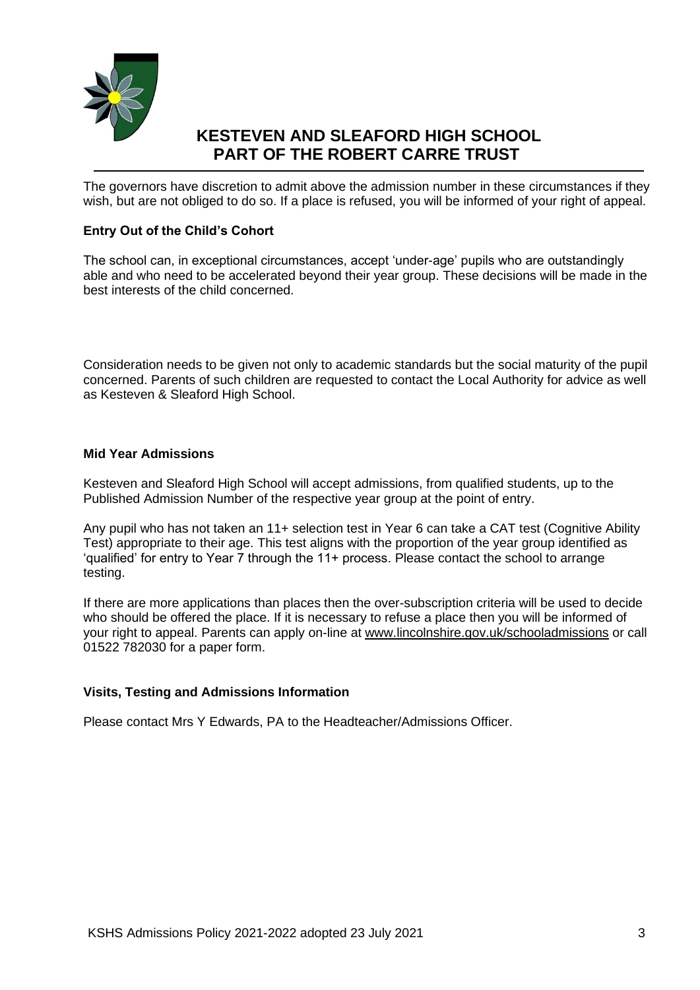

The governors have discretion to admit above the admission number in these circumstances if they wish, but are not obliged to do so. If a place is refused, you will be informed of your right of appeal.

## **Entry Out of the Child's Cohort**

The school can, in exceptional circumstances, accept 'under-age' pupils who are outstandingly able and who need to be accelerated beyond their year group. These decisions will be made in the best interests of the child concerned.

Consideration needs to be given not only to academic standards but the social maturity of the pupil concerned. Parents of such children are requested to contact the Local Authority for advice as well as Kesteven & Sleaford High School.

## **Mid Year Admissions**

Kesteven and Sleaford High School will accept admissions, from qualified students, up to the Published Admission Number of the respective year group at the point of entry.

Any pupil who has not taken an 11+ selection test in Year 6 can take a CAT test (Cognitive Ability Test) appropriate to their age. This test aligns with the proportion of the year group identified as 'qualified' for entry to Year 7 through the 11+ process. Please contact the school to arrange testing.

If there are more applications than places then the over-subscription criteria will be used to decide who should be offered the place. If it is necessary to refuse a place then you will be informed of your right to appeal. Parents can apply on-line at [www.lincolnshire.gov.uk/schooladmissions](http://www.lincolnshire.gov.uk/schooladmissions) or call 01522 782030 for a paper form.

## **Visits, Testing and Admissions Information**

Please contact Mrs Y Edwards, PA to the Headteacher/Admissions Officer.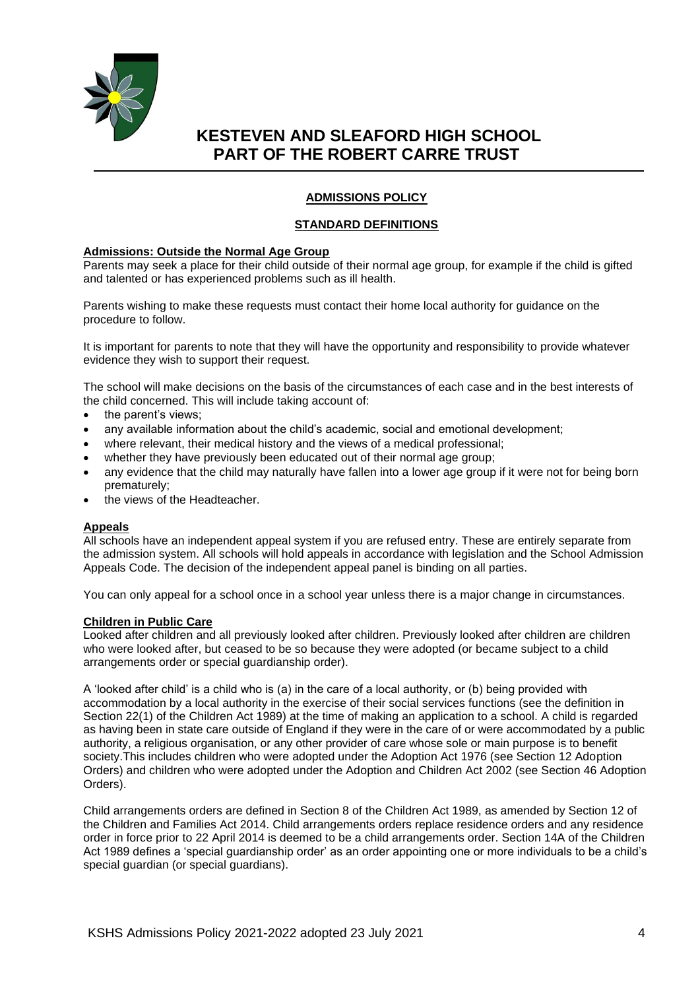

## **ADMISSIONS POLICY**

### **STANDARD DEFINITIONS**

### **Admissions: Outside the Normal Age Group**

Parents may seek a place for their child outside of their normal age group, for example if the child is gifted and talented or has experienced problems such as ill health.

Parents wishing to make these requests must contact their home local authority for guidance on the procedure to follow.

It is important for parents to note that they will have the opportunity and responsibility to provide whatever evidence they wish to support their request.

The school will make decisions on the basis of the circumstances of each case and in the best interests of the child concerned. This will include taking account of:

- the parent's views:
- any available information about the child's academic, social and emotional development;
- where relevant, their medical history and the views of a medical professional;
- whether they have previously been educated out of their normal age group;
- any evidence that the child may naturally have fallen into a lower age group if it were not for being born prematurely;
- the views of the Headteacher

### **Appeals**

All schools have an independent appeal system if you are refused entry. These are entirely separate from the admission system. All schools will hold appeals in accordance with legislation and the School Admission Appeals Code. The decision of the independent appeal panel is binding on all parties.

You can only appeal for a school once in a school year unless there is a major change in circumstances.

### **Children in Public Care**

Looked after children and all previously looked after children. Previously looked after children are children who were looked after, but ceased to be so because they were adopted (or became subject to a child arrangements order or special guardianship order).

A 'looked after child' is a child who is (a) in the care of a local authority, or (b) being provided with accommodation by a local authority in the exercise of their social services functions (see the definition in Section 22(1) of the Children Act 1989) at the time of making an application to a school. A child is regarded as having been in state care outside of England if they were in the care of or were accommodated by a public authority, a religious organisation, or any other provider of care whose sole or main purpose is to benefit society.This includes children who were adopted under the Adoption Act 1976 (see Section 12 Adoption Orders) and children who were adopted under the Adoption and Children Act 2002 (see Section 46 Adoption Orders).

Child arrangements orders are defined in Section 8 of the Children Act 1989, as amended by Section 12 of the Children and Families Act 2014. Child arrangements orders replace residence orders and any residence order in force prior to 22 April 2014 is deemed to be a child arrangements order. Section 14A of the Children Act 1989 defines a 'special guardianship order' as an order appointing one or more individuals to be a child's special guardian (or special guardians).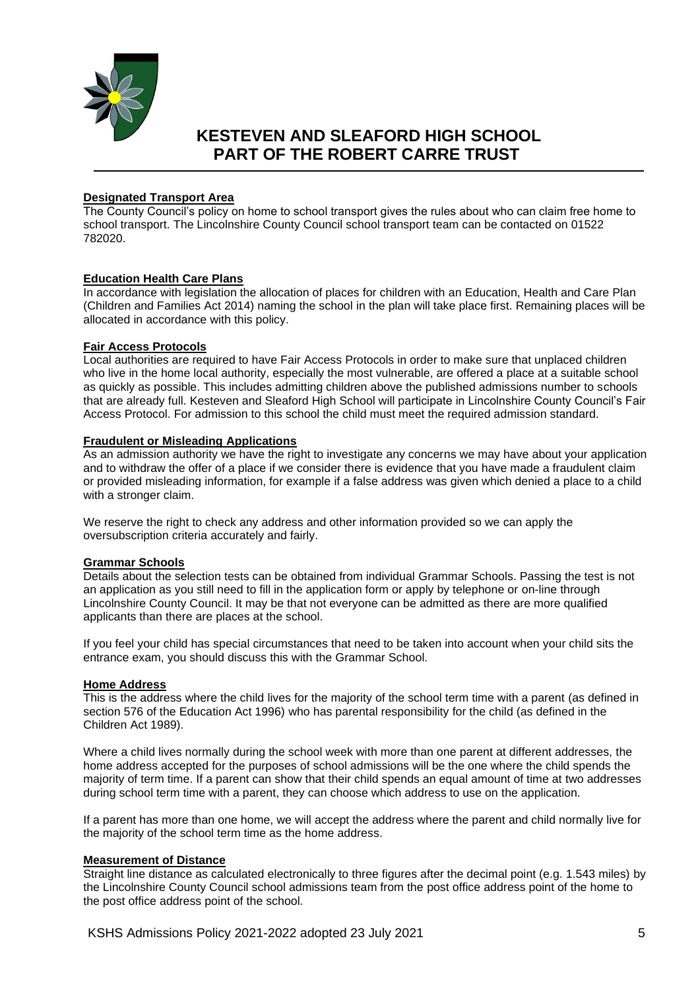

### **Designated Transport Area**

The County Council's policy on home to school transport gives the rules about who can claim free home to school transport. The Lincolnshire County Council school transport team can be contacted on 01522 782020.

### **Education Health Care Plans**

In accordance with legislation the allocation of places for children with an Education, Health and Care Plan (Children and Families Act 2014) naming the school in the plan will take place first. Remaining places will be allocated in accordance with this policy.

### **Fair Access Protocols**

Local authorities are required to have Fair Access Protocols in order to make sure that unplaced children who live in the home local authority, especially the most vulnerable, are offered a place at a suitable school as quickly as possible. This includes admitting children above the published admissions number to schools that are already full. Kesteven and Sleaford High School will participate in Lincolnshire County Council's Fair Access Protocol. For admission to this school the child must meet the required admission standard.

### **Fraudulent or Misleading Applications**

As an admission authority we have the right to investigate any concerns we may have about your application and to withdraw the offer of a place if we consider there is evidence that you have made a fraudulent claim or provided misleading information, for example if a false address was given which denied a place to a child with a stronger claim.

We reserve the right to check any address and other information provided so we can apply the oversubscription criteria accurately and fairly.

### **Grammar Schools**

Details about the selection tests can be obtained from individual Grammar Schools. Passing the test is not an application as you still need to fill in the application form or apply by telephone or on-line through Lincolnshire County Council. It may be that not everyone can be admitted as there are more qualified applicants than there are places at the school.

If you feel your child has special circumstances that need to be taken into account when your child sits the entrance exam, you should discuss this with the Grammar School.

### **Home Address**

This is the address where the child lives for the majority of the school term time with a parent (as defined in section 576 of the Education Act 1996) who has parental responsibility for the child (as defined in the Children Act 1989).

Where a child lives normally during the school week with more than one parent at different addresses, the home address accepted for the purposes of school admissions will be the one where the child spends the majority of term time. If a parent can show that their child spends an equal amount of time at two addresses during school term time with a parent, they can choose which address to use on the application.

If a parent has more than one home, we will accept the address where the parent and child normally live for the majority of the school term time as the home address.

### **Measurement of Distance**

Straight line distance as calculated electronically to three figures after the decimal point (e.g. 1.543 miles) by the Lincolnshire County Council school admissions team from the post office address point of the home to the post office address point of the school.